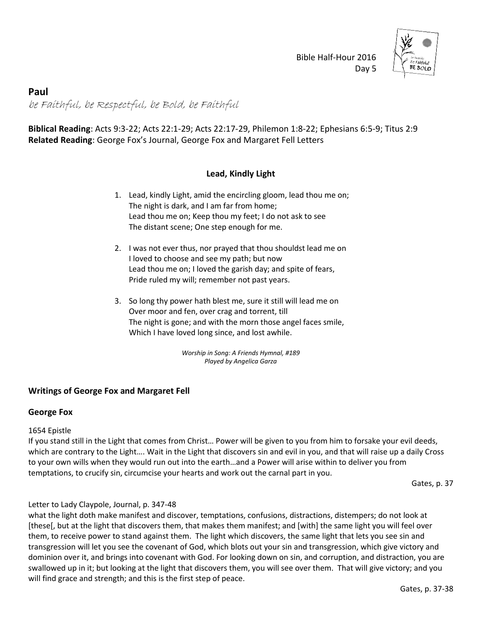

 Bible Half-Hour 2016 Day 5

# **Paul** be Faithful, be Respectful, be Bold, be Faithful

**Biblical Reading**: Acts 9:3-22; Acts 22:1-29; Acts 22:17-29, Philemon 1:8-22; Ephesians 6:5-9; Titus 2:9 **Related Reading**: George Fox's Journal, George Fox and Margaret Fell Letters

## **Lead, Kindly Light**

- 1. Lead, kindly Light, amid the encircling gloom, lead thou me on; The night is dark, and I am far from home; Lead thou me on; Keep thou my feet; I do not ask to see The distant scene; One step enough for me.
- 2. I was not ever thus, nor prayed that thou shouldst lead me on I loved to choose and see my path; but now Lead thou me on; I loved the garish day; and spite of fears, Pride ruled my will; remember not past years.
- 3. So long thy power hath blest me, sure it still will lead me on Over moor and fen, over crag and torrent, till The night is gone; and with the morn those angel faces smile, Which I have loved long since, and lost awhile.

*Worship in Song: A Friends Hymnal, #189 Played by Angelica Garza* 

## **Writings of George Fox and Margaret Fell**

### **George Fox**

### 1654 Epistle

If you stand still in the Light that comes from Christ… Power will be given to you from him to forsake your evil deeds, which are contrary to the Light…. Wait in the Light that discovers sin and evil in you, and that will raise up a daily Cross to your own wills when they would run out into the earth…and a Power will arise within to deliver you from temptations, to crucify sin, circumcise your hearts and work out the carnal part in you.

Gates, p. 37

### Letter to Lady Claypole, Journal, p. 347-48

what the light doth make manifest and discover, temptations, confusions, distractions, distempers; do not look at [these[, but at the light that discovers them, that makes them manifest; and [with] the same light you will feel over them, to receive power to stand against them. The light which discovers, the same light that lets you see sin and transgression will let you see the covenant of God, which blots out your sin and transgression, which give victory and dominion over it, and brings into covenant with God. For looking down on sin, and corruption, and distraction, you are swallowed up in it; but looking at the light that discovers them, you will see over them. That will give victory; and you will find grace and strength; and this is the first step of peace.